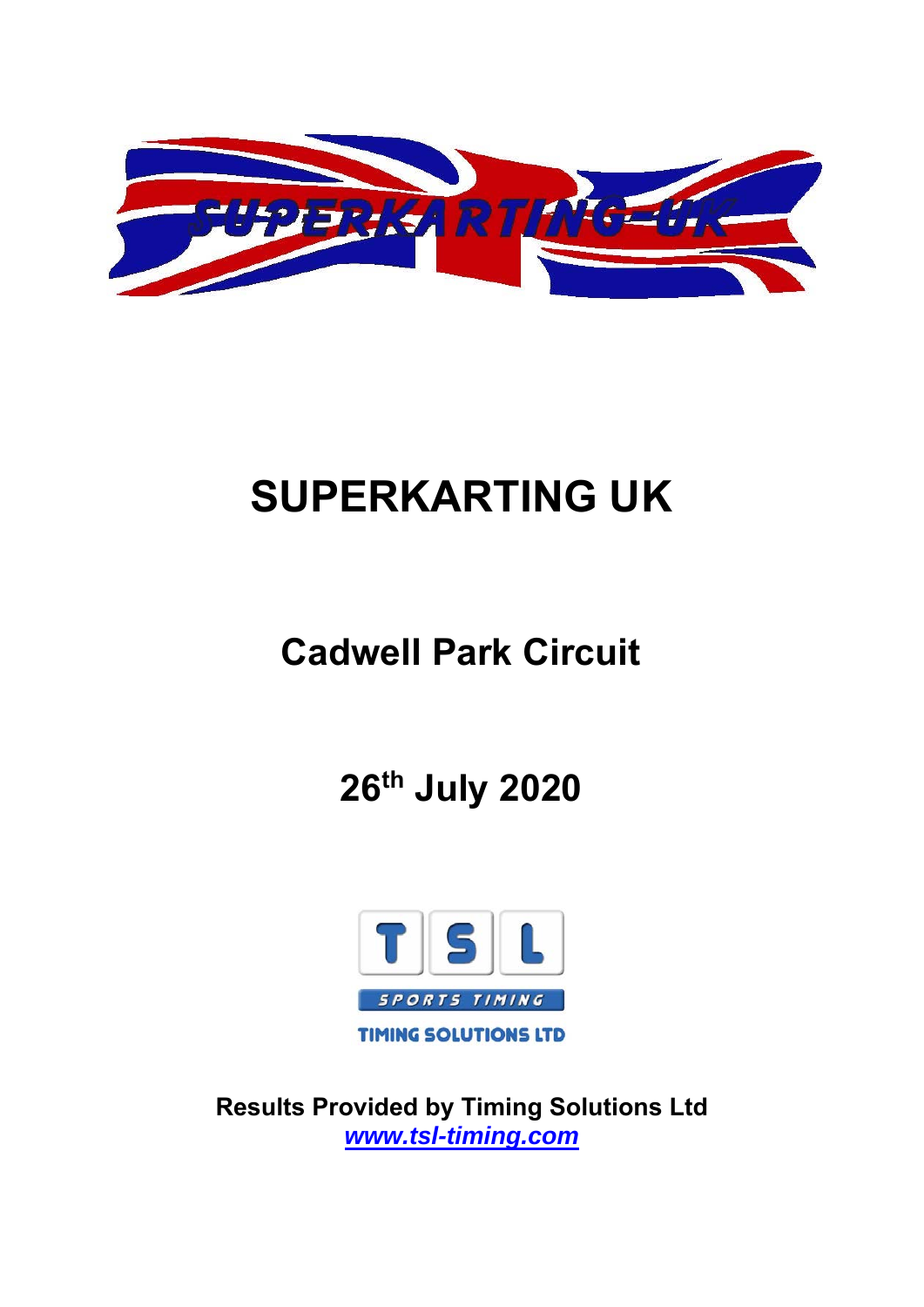

# **SUPERKARTING UK**

# **Cadwell Park Circuit**

**26th July 2020** 



**Results Pr[ovided by Timing Sol](http://www.tsl-timing.com/)utions Ltd**  *www.tsl-timing.com*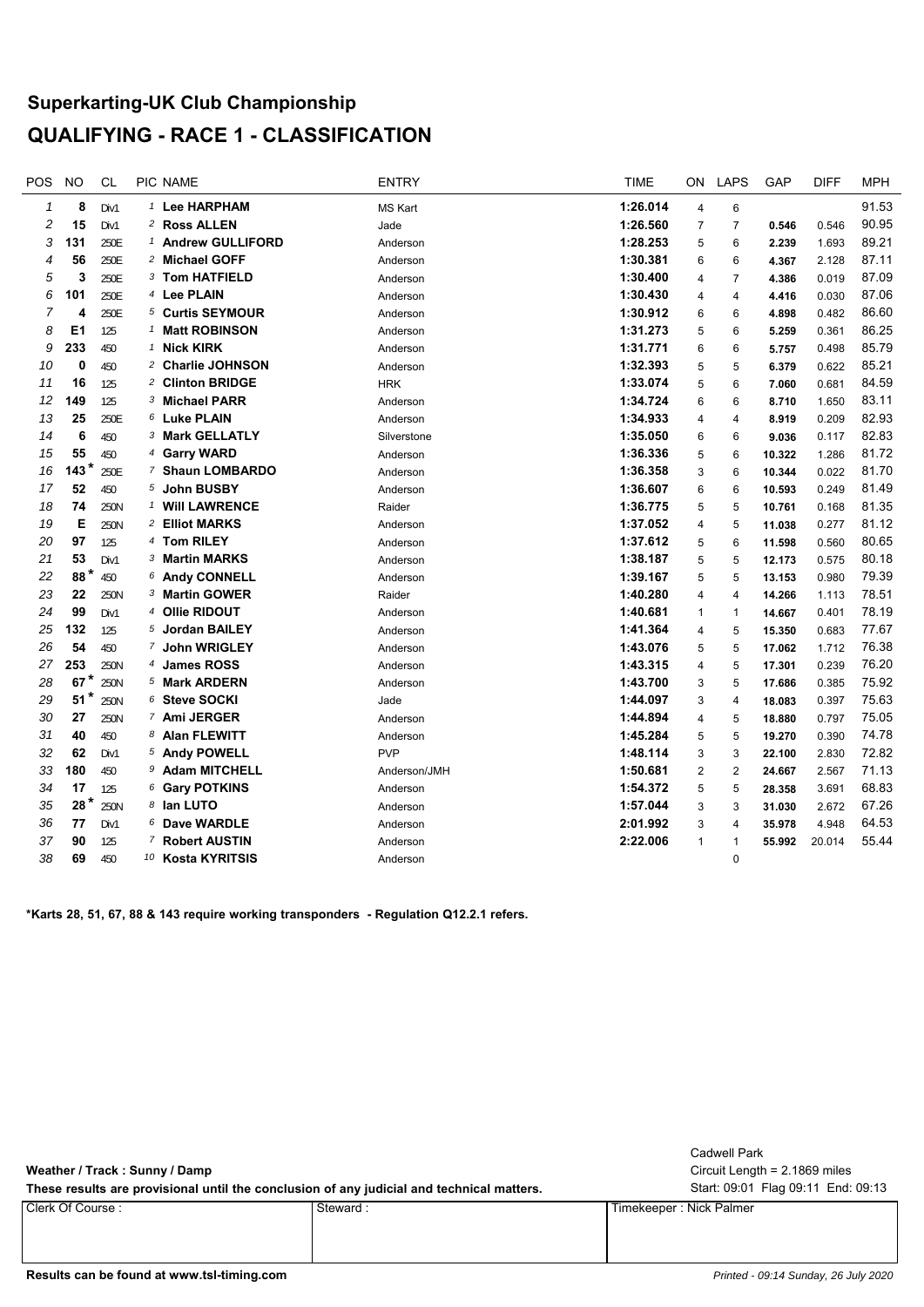# **Superkarting-UK Club Championship QUALIFYING - RACE 1 - CLASSIFICATION**

| POS            | <b>NO</b>       | <b>CL</b> | PIC NAME                     | <b>ENTRY</b>   | <b>TIME</b> | <b>ON</b>               | <b>LAPS</b>    | GAP    | <b>DIFF</b> | <b>MPH</b> |
|----------------|-----------------|-----------|------------------------------|----------------|-------------|-------------------------|----------------|--------|-------------|------------|
| 1              | 8               | Div1      | $1$ Lee HARPHAM              | <b>MS Kart</b> | 1:26.014    | 4                       | 6              |        |             | 91.53      |
| 2              | 15              | Div1      | 2 Ross ALLEN                 | Jade           | 1:26.560    | $\overline{7}$          | $\overline{7}$ | 0.546  | 0.546       | 90.95      |
| 3              | 131             | 250E      | 1 Andrew GULLIFORD           | Anderson       | 1:28.253    | 5                       | 6              | 2.239  | 1.693       | 89.21      |
| 4              | 56              | 250E      | <sup>2</sup> Michael GOFF    | Anderson       | 1:30.381    | 6                       | 6              | 4.367  | 2.128       | 87.11      |
| 5              | 3               | 250E      | 3 Tom HATFIELD               | Anderson       | 1:30.400    | $\overline{4}$          | $\overline{7}$ | 4.386  | 0.019       | 87.09      |
| 6              | 101             | 250E      | <sup>4</sup> Lee PLAIN       | Anderson       | 1:30.430    | $\overline{4}$          | 4              | 4.416  | 0.030       | 87.06      |
| $\overline{7}$ | 4               | 250E      | 5 Curtis SEYMOUR             | Anderson       | 1:30.912    | 6                       | 6              | 4.898  | 0.482       | 86.60      |
| 8              | E <sub>1</sub>  | 125       | <sup>1</sup> Matt ROBINSON   | Anderson       | 1:31.273    | 5                       | 6              | 5.259  | 0.361       | 86.25      |
| 9              | 233             | 450       | <sup>1</sup> Nick KIRK       | Anderson       | 1:31.771    | 6                       | 6              | 5.757  | 0.498       | 85.79      |
| 10             | 0               | 450       | <sup>2</sup> Charlie JOHNSON | Anderson       | 1:32.393    | 5                       | 5              | 6.379  | 0.622       | 85.21      |
| 11             | 16              | 125       | 2 Clinton BRIDGE             | <b>HRK</b>     | 1:33.074    | 5                       | 6              | 7.060  | 0.681       | 84.59      |
| 12             | 149             | 125       | 3 Michael PARR               | Anderson       | 1:34.724    | 6                       | 6              | 8.710  | 1.650       | 83.11      |
| 13             | 25              | 250E      | 6 Luke PLAIN                 | Anderson       | 1:34.933    | $\overline{4}$          | $\overline{4}$ | 8.919  | 0.209       | 82.93      |
| 14             | 6               | 450       | <sup>3</sup> Mark GELLATLY   | Silverstone    | 1:35.050    | 6                       | 6              | 9.036  | 0.117       | 82.83      |
| 15             | 55              | 450       | 4 Garry WARD                 | Anderson       | 1:36.336    | 5                       | 6              | 10.322 | 1.286       | 81.72      |
| 16             | $143*$          | 250E      | 7 Shaun LOMBARDO             | Anderson       | 1:36.358    | 3                       | 6              | 10.344 | 0.022       | 81.70      |
| 17             | 52              | 450       | 5 John BUSBY                 | Anderson       | 1:36.607    | 6                       | 6              | 10.593 | 0.249       | 81.49      |
| 18             | 74              | 250N      | <sup>1</sup> Will LAWRENCE   | Raider         | 1:36.775    | 5                       | 5              | 10.761 | 0.168       | 81.35      |
| 19             | Е               | 250N      | 2 Elliot MARKS               | Anderson       | 1:37.052    | $\overline{\mathbf{4}}$ | 5              | 11.038 | 0.277       | 81.12      |
| 20             | 97              | 125       | 4 Tom RILEY                  | Anderson       | 1:37.612    | 5                       | 6              | 11.598 | 0.560       | 80.65      |
| 21             | 53              | Div1      | 3 Martin MARKS               | Anderson       | 1:38.187    | 5                       | 5              | 12.173 | 0.575       | 80.18      |
| 22             | 88*             | 450       | 6 Andy CONNELL               | Anderson       | 1:39.167    | 5                       | 5              | 13.153 | 0.980       | 79.39      |
| 23             | 22              | 250N      | 3 Martin GOWER               | Raider         | 1:40.280    | $\overline{4}$          | 4              | 14.266 | 1.113       | 78.51      |
| 24             | 99              | Div1      | 4 Ollie RIDOUT               | Anderson       | 1:40.681    | $\mathbf{1}$            | $\mathbf{1}$   | 14.667 | 0.401       | 78.19      |
| 25             | 132             | 125       | 5 Jordan BAILEY              | Anderson       | 1:41.364    | 4                       | 5              | 15.350 | 0.683       | 77.67      |
| 26             | 54              | 450       | 7 John WRIGLEY               | Anderson       | 1:43.076    | 5                       | 5              | 17.062 | 1.712       | 76.38      |
| 27             | 253             | 250N      | 4 James ROSS                 | Anderson       | 1:43.315    | $\overline{4}$          | 5              | 17.301 | 0.239       | 76.20      |
| 28             | $67$ $^{\star}$ | 250N      | 5 Mark ARDERN                | Anderson       | 1:43.700    | 3                       | 5              | 17.686 | 0.385       | 75.92      |
| 29             | $51*$           | 250N      | 6 Steve SOCKI                | Jade           | 1:44.097    | 3                       | 4              | 18.083 | 0.397       | 75.63      |
| 30             | 27              | 250N      | 7 Ami JERGER                 | Anderson       | 1:44.894    | $\overline{4}$          | 5              | 18.880 | 0.797       | 75.05      |
| 31             | 40              | 450       | 8 Alan FLEWITT               | Anderson       | 1:45.284    | 5                       | 5              | 19.270 | 0.390       | 74.78      |
| 32             | 62              | Div1      | 5 Andy POWELL                | <b>PVP</b>     | 1:48.114    | 3                       | 3              | 22.100 | 2.830       | 72.82      |
| 33             | 180             | 450       | 9 Adam MITCHELL              | Anderson/JMH   | 1:50.681    | $\overline{2}$          | $\overline{2}$ | 24.667 | 2.567       | 71.13      |
| 34             | 17              | 125       | 6 Gary POTKINS               | Anderson       | 1:54.372    | 5                       | 5              | 28.358 | 3.691       | 68.83      |
| 35             | $28*$           | 250N      | 8 Ian LUTO                   | Anderson       | 1:57.044    | 3                       | 3              | 31.030 | 2.672       | 67.26      |
| 36             | 77              | Div1      | 6 Dave WARDLE                | Anderson       | 2:01.992    | 3                       | $\overline{4}$ | 35.978 | 4.948       | 64.53      |
| 37             | 90              | 125       | 7 Robert AUSTIN              | Anderson       | 2:22.006    | $\mathbf{1}$            | $\mathbf{1}$   | 55.992 | 20.014      | 55.44      |
| 38             | 69              | 450       | 10 Kosta KYRITSIS            | Anderson       |             |                         | $\Omega$       |        |             |            |
|                |                 |           |                              |                |             |                         |                |        |             |            |

**\*Karts 28, 51, 67, 88 & 143 require working transponders - Regulation Q12.2.1 refers.**

| Weather / Track: Sunny / Damp                                                             |          | Cadwell Park<br>Circuit Length = $2.1869$ miles |
|-------------------------------------------------------------------------------------------|----------|-------------------------------------------------|
| These results are provisional until the conclusion of any judicial and technical matters. |          | Start: 09:01 Flag 09:11 End: 09:13              |
| Clerk Of Course :                                                                         | Steward: | Timekeeper : Nick Palmer                        |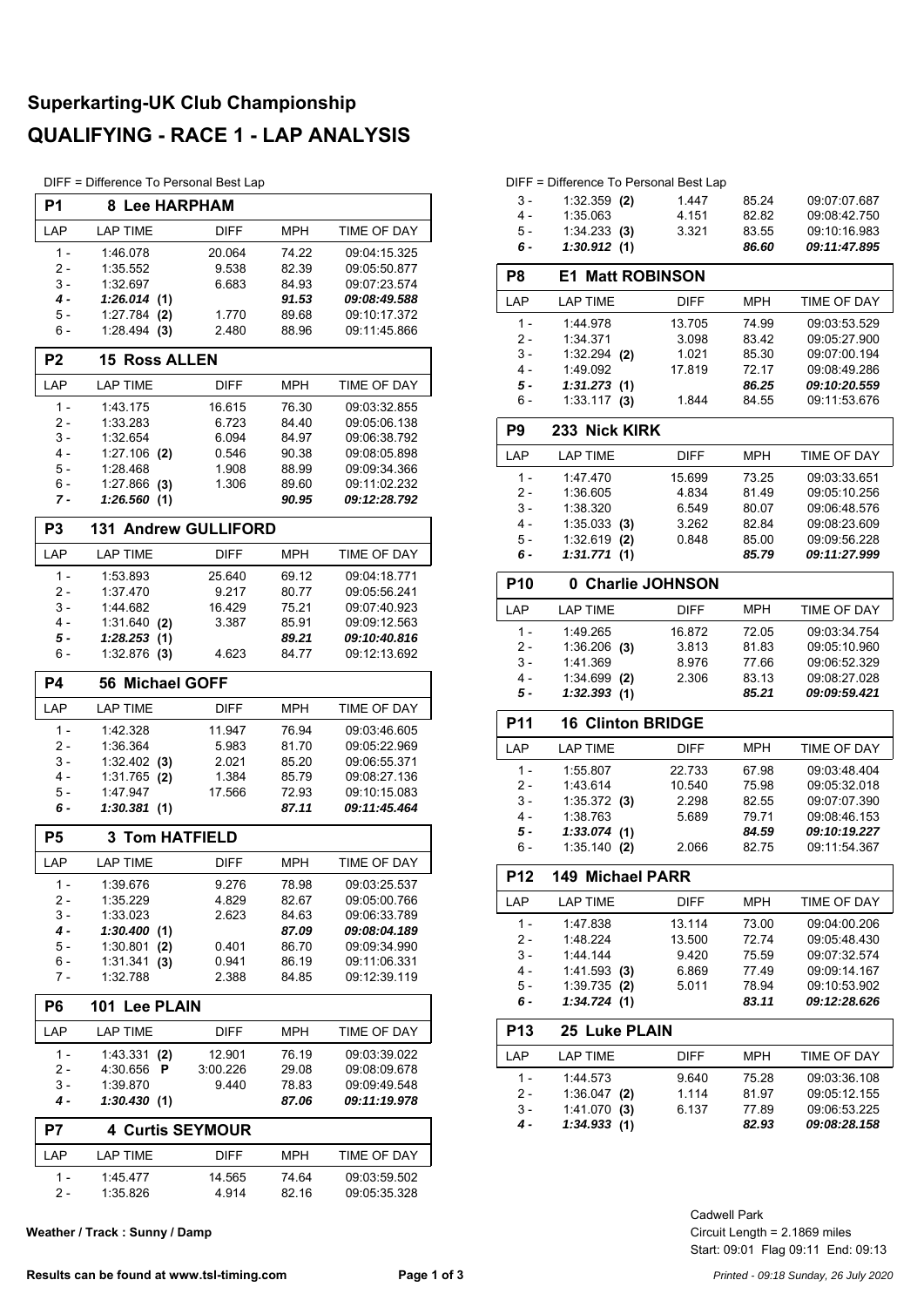# **Superkarting-UK Club Championship QUALIFYING - RACE 1 - LAP ANALYSIS**

DIFF = Difference To Personal Best Lap

| P1             | 8 Lee HARPHAM               |                |                |                              |
|----------------|-----------------------------|----------------|----------------|------------------------------|
| LAP            | <b>LAP TIME</b>             | <b>DIFF</b>    | <b>MPH</b>     | TIME OF DAY                  |
| $1 -$          | 1:46.078                    | 20.064         | 74.22          | 09:04:15.325                 |
| 2 -            | 1:35.552                    | 9.538          | 82.39          | 09:05:50.877                 |
| 3 -            | 1:32.697                    | 6.683          | 84.93          | 09:07:23.574                 |
| 4 -            | 1:26.014(1)                 |                | 91.53          | 09:08:49.588                 |
| 5 -            | 1:27.784<br>(2)             | 1.770          | 89.68          | 09:10:17.372                 |
| 6 -            | 1:28.494<br>(3)             | 2.480          | 88.96          | 09:11:45.866                 |
| P <sub>2</sub> | <b>15 Ross ALLEN</b>        |                |                |                              |
| LAP            | <b>LAP TIME</b>             | <b>DIFF</b>    | <b>MPH</b>     | <b>TIME OF DAY</b>           |
| 1 -            | 1:43.175                    | 16.615         | 76.30          | 09:03:32.855                 |
| 2 -            | 1:33.283                    | 6.723          | 84.40          | 09:05:06.138                 |
| 3 -<br>4 -     | 1:32.654<br>$1:27.106$ (2)  | 6.094<br>0.546 | 84.97<br>90.38 | 09:06:38.792<br>09:08:05.898 |
| 5 -            | 1:28.468                    | 1.908          | 88.99          | 09:09:34.366                 |
| $6 -$          | $1:27.866$ (3)              | 1.306          | 89.60          | 09:11:02.232                 |
| 7 -            | 1:26.560(1)                 |                | 90.95          | 09:12:28.792                 |
| P <sub>3</sub> | <b>131 Andrew GULLIFORD</b> |                |                |                              |
| LAP            | <b>LAP TIME</b>             | <b>DIFF</b>    | MPH            | <b>TIME OF DAY</b>           |
| $1 -$          | 1:53.893                    | 25.640         | 69.12          | 09:04:18.771                 |
| 2 -            | 1:37.470                    | 9.217          | 80.77          | 09:05:56.241                 |
| 3 -            | 1:44.682                    | 16.429         | 75.21          | 09:07:40.923                 |
| 4 -            | 1:31.640<br>(2)             | 3.387          | 85.91          | 09:09:12.563                 |
| 5 -            | 1:28.253<br>(1)             |                | 89.21          | 09:10:40.816                 |
| 6 -            | 1:32.876<br>(3)             | 4.623          | 84.77          | 09:12:13.692                 |
| <b>P4</b>      | <b>Michael GOFF</b><br>56   |                |                |                              |
| LAP            | <b>LAP TIME</b>             | <b>DIFF</b>    | <b>MPH</b>     | <b>TIME OF DAY</b>           |
| $1 -$          | 1:42.328                    | 11.947         | 76.94          | 09:03:46.605                 |
| $2 -$          | 1:36.364                    | 5.983          | 81.70          | 09:05:22.969                 |
| 3 -            | 1:32.402<br>(3)             | 2.021          | 85.20          | 09:06:55.371                 |
| 4 -            | 1:31.765<br>(2)             | 1.384          | 85.79          | 09:08:27.136                 |
| 5 -<br>6 -     | 1:47.947                    | 17.566         | 72.93<br>87.11 | 09:10:15.083                 |
|                | 1:30.381(1)                 |                |                | 09:11:45.464                 |
| P <sub>5</sub> |                             |                |                |                              |
|                | <b>3 Tom HATFIELD</b>       |                |                |                              |
| LAP            | <b>LAP TIME</b>             | <b>DIFF</b>    | <b>MPH</b>     | TIME OF DAY                  |
| $1 -$          | 1:39.676                    | 9.276          | 78.98          | 09:03:25.537                 |
| 2 -            | 1:35.229                    | 4.829          | 82.67          | 09:05:00.766                 |
| 3 -            | 1:33.023                    | 2.623          | 84.63          | 09:06:33.789                 |
| $4 -$          | 1:30.400(1)                 |                | 87.09          | 09:08:04.189                 |
| 5 -            | 1:30.801<br>(2)             | 0.401          | 86.70          | 09:09:34.990                 |
| 6 -<br>7 -     | 1:31.341<br>(3)<br>1:32.788 | 0.941<br>2.388 | 86.19<br>84.85 | 09:11:06.331<br>09:12:39.119 |
|                |                             |                |                |                              |
| P <sub>6</sub> | 101 Lee PLAIN               |                | <b>MPH</b>     |                              |
| LAP            | <b>LAP TIME</b>             | <b>DIFF</b>    |                | TIME OF DAY                  |
| 1 -            | 1:43.331<br>(2)             | 12.901         | 76.19          | 09:03:39.022                 |
| 2 -            | 4:30.656<br>P               | 3:00.226       | 29.08          | 09:08:09.678                 |
| 3 -<br>4 -     | 1:39.870<br>1:30.430 (1)    | 9.440          | 78.83<br>87.06 | 09:09:49.548<br>09:11:19.978 |
|                |                             |                |                |                              |
| P7             | <b>4 Curtis SEYMOUR</b>     |                |                |                              |
| LAP<br>1 -     | <b>LAP TIME</b><br>1:45.477 | DIFF<br>14.565 | MPH<br>74.64   | TIME OF DAY<br>09:03:59.502  |

**Weather / Track : Sunny / Damp**

#### DIFF = Difference To Personal Best Lap

| 6 -   | 1:30.912 (1)   |       | 86.60 | 09:11:47.895 |
|-------|----------------|-------|-------|--------------|
| $5 -$ | 1:34.233(3)    | 3.321 | 83.55 | 09:10:16.983 |
| 4 -   | 1:35.063       | 4 151 | 82.82 | 09:08:42.750 |
| $3 -$ | $1:32.359$ (2) | 1447  | 85 24 | 09 07 07 687 |

| P8    | <b>E1 Matt ROBINSON</b> |             |            |              |
|-------|-------------------------|-------------|------------|--------------|
| LAP   | <b>LAP TIME</b>         | <b>DIFF</b> | <b>MPH</b> | TIME OF DAY  |
| 1 -   | 1:44.978                | 13.705      | 74.99      | 09:03:53.529 |
| 2 -   | 1:34.371                | 3.098       | 83.42      | 09:05:27.900 |
| $3 -$ | $1:32.294$ (2)          | 1.021       | 85.30      | 09:07:00.194 |
| $4 -$ | 1:49.092                | 17.819      | 72.17      | 09:08:49.286 |
| 5 -   | 1:31.273(1)             |             | 86.25      | 09:10:20.559 |
| $6 -$ | 1:33.117<br>(3)         | 1.844       | 84.55      | 09:11:53.676 |
| DQ    | 233 Nick KIRK           |             |            |              |

| ۲y    | 233 NICK KIRK   |             |            |              |  |
|-------|-----------------|-------------|------------|--------------|--|
| LAP   | LAP TIME        | <b>DIFF</b> | <b>MPH</b> | TIME OF DAY  |  |
| 1 -   | 1:47.470        | 15.699      | 73.25      | 09:03:33.651 |  |
| $2 -$ | 1:36.605        | 4.834       | 81.49      | 09:05:10.256 |  |
| $3 -$ | 1:38.320        | 6.549       | 80.07      | 09:06:48.576 |  |
| 4 -   | 1:35.033(3)     | 3.262       | 82.84      | 09:08:23.609 |  |
| 5 -   | 1:32.619<br>(2) | 0.848       | 85.00      | 09:09:56.228 |  |
| 6 -   | 1:31.771(1)     |             | 85.79      | 09:11:27.999 |  |
|       |                 |             |            |              |  |

| <b>P10</b> | 0 Charlie JOHNSON |             |            |                    |
|------------|-------------------|-------------|------------|--------------------|
| LAP        | LAP TIME          | <b>DIFF</b> | <b>MPH</b> | <b>TIME OF DAY</b> |
| 1 –        | 1:49.265          | 16.872      | 72.05      | 09:03:34.754       |
| $2 -$      | $1:36.206$ (3)    | 3.813       | 81.83      | 09:05:10.960       |
| $3 -$      | 1:41.369          | 8.976       | 77.66      | 09:06:52.329       |
| $4 -$      | 1:34.699<br>(2)   | 2.306       | 83.13      | 09:08:27.028       |
| 5 -        | 1:32.393          |             | 85.21      | 09:09:59.421       |

#### **P11 16 Clinton BRIDGE**

| LAP   | LAP TIME        | <b>DIFF</b> | <b>MPH</b> | <b>TIME OF DAY</b> |
|-------|-----------------|-------------|------------|--------------------|
| 1 -   | 1:55.807        | 22.733      | 67.98      | 09:03:48.404       |
| $2 -$ | 1:43.614        | 10.540      | 75.98      | 09:05:32.018       |
| $3 -$ | $1:35.372$ (3)  | 2.298       | 82.55      | 09:07:07.390       |
| 4 -   | 1:38.763        | 5.689       | 79.71      | 09:08:46.153       |
| 5 -   | 1:33.074(1)     |             | 84.59      | 09:10:19.227       |
| .6    | 1:35.140<br>(2) | 2.066       | 82.75      | 09:11:54.367       |
|       |                 |             |            |                    |

| <b>P12</b> | 149 Michael PARR |             |            |                    |
|------------|------------------|-------------|------------|--------------------|
| LAP        | <b>LAP TIME</b>  | <b>DIFF</b> | <b>MPH</b> | <b>TIME OF DAY</b> |
| 1 -        | 1:47.838         | 13.114      | 73.00      | 09:04:00.206       |
| $2 -$      | 1:48.224         | 13.500      | 7274       | 09:05:48.430       |
| $3 -$      | $1.44$ 144       | 9.420       | 75.59      | 09:07:32.574       |
| $4 -$      | 1:41.593(3)      | 6.869       | 77.49      | 09:09:14.167       |
| $5 -$      | $1:39.735$ (2)   | 5.011       | 78.94      | 09:10:53.902       |
| 6 -        | 1:34.724(1)      |             | 83.11      | 09:12:28.626       |

| <b>P13</b> | <b>25 Luke PLAIN</b> |             |       |              |
|------------|----------------------|-------------|-------|--------------|
| LAP        | LAP TIME             | <b>DIFF</b> | MPH   | TIME OF DAY  |
| 1 –        | 1:44.573             | 9.640       | 75.28 | 09:03:36.108 |
| $2 -$      | $1:36.047$ (2)       | 1 1 1 4     | 81.97 | 09:05:12.155 |
| 3 -        | 1.41.070(3)          | 6.137       | 77.89 | 09:06:53.225 |
| 4 -        | 1:34.933(1)          |             | 82.93 | 09:08:28.158 |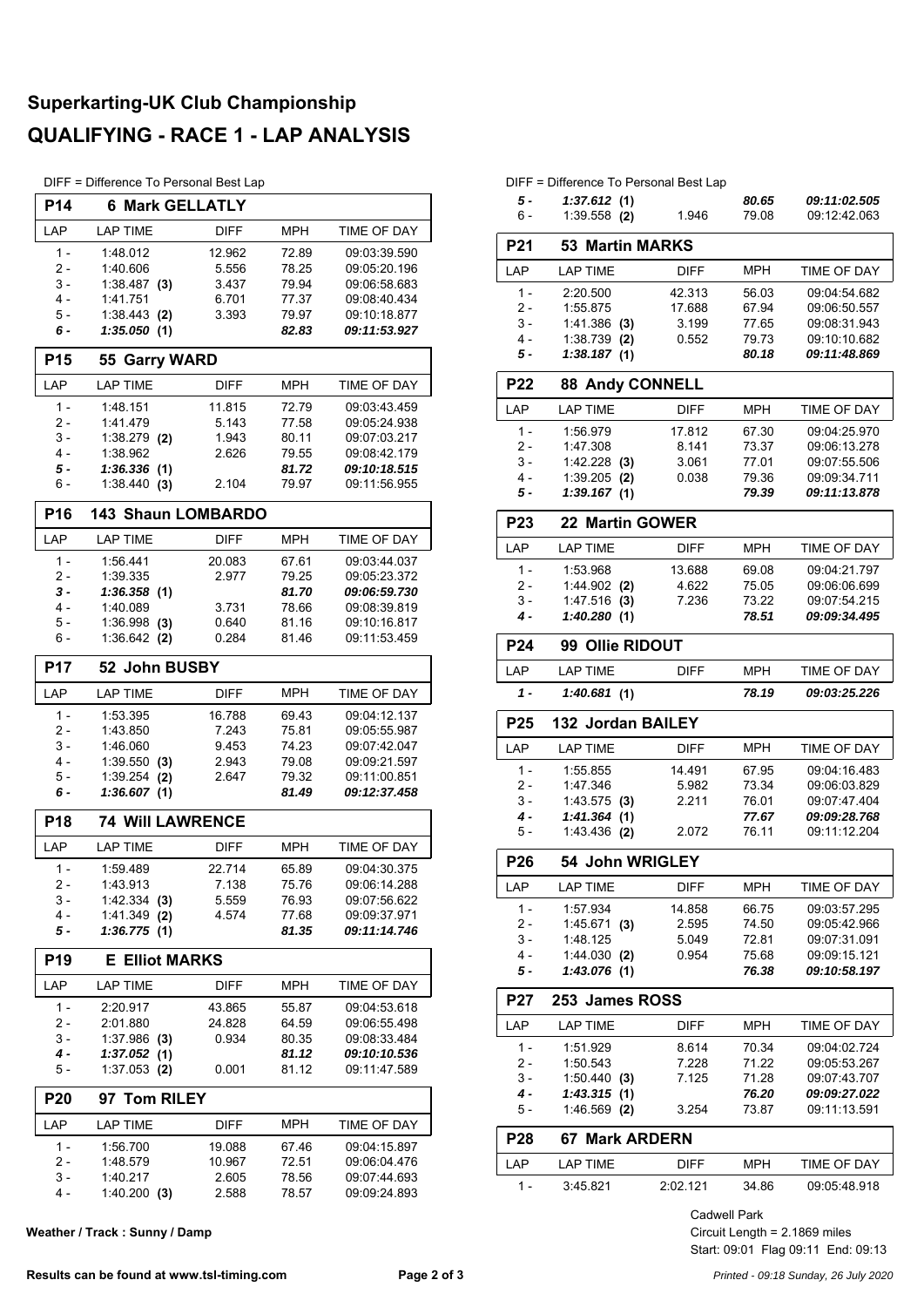# **Superkarting-UK Club Championship QUALIFYING - RACE 1 - LAP ANALYSIS**

DIFF = Difference To Personal Best Lap

| பா              | - υπισισικο το ησιδυπαι μοδι Lap |             |            |                    |
|-----------------|----------------------------------|-------------|------------|--------------------|
| <b>P14</b>      | <b>6 Mark GELLATLY</b>           |             |            |                    |
| LAP             | <b>LAP TIME</b>                  | <b>DIFF</b> | MPH        | TIME OF DAY        |
| $1 -$           | 1:48.012                         | 12.962      | 72.89      | 09:03:39.590       |
| 2 -             | 1:40.606                         | 5.556       | 78.25      | 09:05:20.196       |
| 3 -             | $1:38.487$ (3)                   | 3.437       | 79.94      | 09:06:58.683       |
| 4 -             | 1:41.751                         | 6.701       | 77.37      | 09:08:40.434       |
| $5 -$           | 1:38.443(2)                      | 3.393       | 79.97      | 09:10:18.877       |
| 6 -             | 1:35.050(1)                      |             | 82.83      | 09:11:53.927       |
| P <sub>15</sub> | 55 Garry WARD                    |             |            |                    |
| LAP             | <b>LAP TIME</b>                  | <b>DIFF</b> | MPH        | <b>TIME OF DAY</b> |
| $1 -$           | 1:48.151                         | 11.815      | 72.79      | 09:03:43.459       |
| 2 -             | 1:41.479                         | 5.143       | 77.58      | 09:05:24.938       |
| 3 -             | $1:38.279$ (2)                   | 1.943       | 80.11      | 09:07:03.217       |
| 4 -             | 1:38.962                         | 2.626       | 79.55      | 09:08:42.179       |
| 5 -             | 1:36.336(1)                      |             | 81.72      | 09:10:18.515       |
| 6 -             | 1:38.440(3)                      | 2.104       | 79.97      | 09:11:56.955       |
| P <sub>16</sub> | <b>143 Shaun LOMBARDO</b>        |             |            |                    |
| LAP             | <b>LAP TIME</b>                  | <b>DIFF</b> | <b>MPH</b> | <b>TIME OF DAY</b> |
| $1 -$           | 1:56.441                         | 20.083      | 67.61      | 09:03:44.037       |
| 2 -             | 1:39.335                         | 2.977       | 79.25      | 09:05:23.372       |
| 3 -             | 1:36.358(1)                      |             | 81.70      | 09:06:59.730       |
| 4 -             | 1:40.089                         | 3.731       | 78.66      | 09:08:39.819       |
| 5 -             | $1:36.998$ (3)                   | 0.640       | 81.16      | 09:10:16.817       |
| 6 -             | $1:36.642$ (2)                   | 0.284       | 81.46      | 09:11:53.459       |
| <b>P17</b>      | 52 John BUSBY                    |             |            |                    |
| LAP             | <b>LAP TIME</b>                  | <b>DIFF</b> | <b>MPH</b> | TIME OF DAY        |
| $1 -$           | 1:53.395                         | 16.788      | 69.43      | 09:04:12.137       |
| 2 -             | 1:43.850                         | 7.243       | 75.81      | 09:05:55.987       |
| 3 -             | 1:46.060                         | 9.453       | 74.23      | 09:07:42.047       |
| 4 -             | 1:39.550<br>(3)                  | 2.943       | 79.08      | 09:09:21.597       |
| 5 -             | 1:39.254<br>(2)                  | 2.647       | 79.32      | 09:11:00.851       |
| 6 -             | 1:36.607(1)                      |             | 81.49      | 09:12:37.458       |
| <b>P18</b>      | <b>74 Will LAWRENCE</b>          |             |            |                    |
| LAP             | <b>LAP TIME</b>                  | <b>DIFF</b> | MPH        | TIME OF DAY        |
| 1 -             | 1:59.489                         | 22.714      | 65.89      | 09:04:30.375       |
| 2 -             | 1:43.913                         | 7.138       | 75.76      | 09:06:14.288       |
| 3 -             | $1:42.334$ (3)                   | 5.559       | 76.93      | 09:07:56.622       |
| 4 -             | $1:41.349$ (2)                   | 4.574       | 77.68      | 09:09:37.971       |
| 5 -             | 1:36.775(1)                      |             | 81.35      | 09:11:14.746       |
| P <sub>19</sub> | <b>E</b> Elliot MARKS            |             |            |                    |
| LAP             | <b>LAP TIME</b>                  | <b>DIFF</b> | <b>MPH</b> | TIME OF DAY        |
| $1 -$           | 2:20.917                         | 43.865      | 55.87      | 09:04:53.618       |
| 2 -             | 2:01.880                         | 24.828      | 64.59      | 09:06:55.498       |
| 3 -             | $1:37.986$ (3)                   | 0.934       | 80.35      | 09:08:33.484       |
| 4 -             | 1:37.052(1)                      |             | 81.12      | 09:10:10.536       |
| 5 -             | $1:37.053$ (2)                   | 0.001       | 81.12      | 09:11:47.589       |
| <b>P20</b>      | 97 Tom RILEY                     |             |            |                    |
| LAP             | <b>LAP TIME</b>                  | <b>DIFF</b> | MPH        | TIME OF DAY        |
| $1 -$           | 1:56.700                         | 19.088      | 67.46      | 09:04:15.897       |
| 2 -             | 1:48.579                         | 10.967      | 72.51      | 09:06:04.476       |
| $3 -$           | 1:40.217                         | 2.605       | 78.56      | 09:07:44.693       |
| 4 -             | $1:40.200$ (3)                   | 2.588       | 78.57      | 09:09:24.893       |

**Weather / Track : Sunny / Damp**

|                 | DIFF = Difference To Personal Best Lap |                |                |                              |
|-----------------|----------------------------------------|----------------|----------------|------------------------------|
| 5 -             | 1:37.612(1)                            |                | 80.65          | 09:11:02.505                 |
| 6 -             | $1:39.558$ (2)                         | 1.946          | 79.08          | 09:12:42.063                 |
| P <sub>21</sub> | <b>53 Martin MARKS</b>                 |                |                |                              |
| LAP             | <b>LAP TIME</b>                        | <b>DIFF</b>    | MPH            | TIME OF DAY                  |
| $1 -$           | 2:20.500                               | 42.313         | 56.03          | 09:04:54.682                 |
| $2 -$           | 1:55.875                               | 17.688         | 67.94          | 09:06:50.557                 |
| 3 -<br>4 -      | $1:41.386$ (3)                         | 3.199<br>0.552 | 77.65          | 09:08:31.943<br>09:10:10.682 |
| 5 -             | $1:38.739$ (2)<br>1:38.187 (1)         |                | 79.73<br>80.18 | 09:11:48.869                 |
| <b>P22</b>      | <b>88 Andy CONNELL</b>                 |                |                |                              |
| LAP             | <b>LAP TIME</b>                        | <b>DIFF</b>    | MPH            | TIME OF DAY                  |
| $1 -$           | 1:56.979                               | 17.812         | 67.30          | 09:04:25.970                 |
| 2 -             | 1:47.308                               | 8.141          | 73.37          | 09:06:13.278                 |
| 3 -             | $1:42.228$ (3)                         | 3.061          | 77.01          | 09:07:55.506                 |
| 4 -             | $1:39.205$ (2)                         | 0.038          | 79.36          | 09:09:34.711                 |
| 5 -             | 1:39.167 (1)                           |                | 79.39          | 09:11:13.878                 |
| <b>P23</b>      | 22 Martin GOWER                        |                |                |                              |
| LAP             | <b>LAP TIME</b>                        | <b>DIFF</b>    | MPH            | TIME OF DAY                  |
| $1 -$           | 1:53.968                               | 13.688         | 69.08          | 09:04:21.797                 |
| 2 -             | $1:44.902$ (2)                         | 4.622          | 75.05          | 09:06:06.699                 |
| 3 -             | $1:47.516$ (3)                         | 7.236          | 73.22          | 09:07:54.215                 |
| 4 -             | 1:40.280(1)                            |                | 78.51          | 09:09:34.495                 |
| P <sub>24</sub> | 99 Ollie RIDOUT                        |                |                |                              |
| LAP             | <b>LAP TIME</b>                        | <b>DIFF</b>    | <b>MPH</b>     | TIME OF DAY                  |
| 1 -             | 1:40.681(1)                            |                | 78.19          | 09:03:25.226                 |
| P25             | <b>132 Jordan BAILEY</b>               |                |                |                              |
| LAP             | <b>LAP TIME</b>                        | <b>DIFF</b>    | MPH            |                              |
|                 |                                        |                |                | TIME OF DAY                  |
| $1 -$           | 1:55.855                               | 14.491         | 67.95          | 09:04:16.483                 |
| $2 -$           | 1:47.346                               | 5.982          | 73.34          | 09:06:03.829                 |
| 3 -             | $1:43.575$ (3)                         | 2.211          | 76.01          | 09:07:47.404                 |
| 4 -             | 1:41.364(1)                            |                | 77.67          | 09:09:28.768                 |
| 5 -             | $1:43.436$ (2)                         | 2.072          | 76.11          | 09:11:12.204                 |
| P26             | 54 John WRIGLEY                        |                |                |                              |
| LAP             | <b>LAP TIME</b>                        | <b>DIFF</b>    | MPH            | <b>TIME OF DAY</b>           |
| $1 -$           | 1:57.934                               | 14.858         | 66.75          | 09:03:57.295                 |
| 2 -             | 1:45.671(3)                            | 2.595          | 74.50          | 09:05:42.966                 |
| 3 -             | 1:48.125                               | 5.049          | 72.81          | 09:07:31.091                 |
| 4 -<br>5 -      | 1.44.030(2)<br>1:43.076(1)             | 0.954          | 75.68<br>76.38 | 09:09:15.121<br>09:10:58.197 |
| P27             | 253 James ROSS                         |                |                |                              |
| LAP             | <b>LAP TIME</b>                        | <b>DIFF</b>    | <b>MPH</b>     | TIME OF DAY                  |
| $1 -$           | 1:51.929                               | 8.614          | 70.34          | 09:04:02.724                 |
| 2 -             | 1:50.543                               | 7.228          | 71.22          | 09:05:53.267                 |
| 3 -             | 1:50.440(3)                            | 7.125          | 71.28          | 09:07:43.707                 |
| 4 -             | 1:43.315(1)                            |                | 76.20          | 09:09:27.022                 |
| 5 -             | $1:46.569$ (2)                         | 3.254          | 73.87          | 09:11:13.591                 |
| <b>P28</b>      | <b>67 Mark ARDERN</b>                  |                |                |                              |
| LAP             | <b>LAP TIME</b>                        | DIFF           | MPH            | TIME OF DAY                  |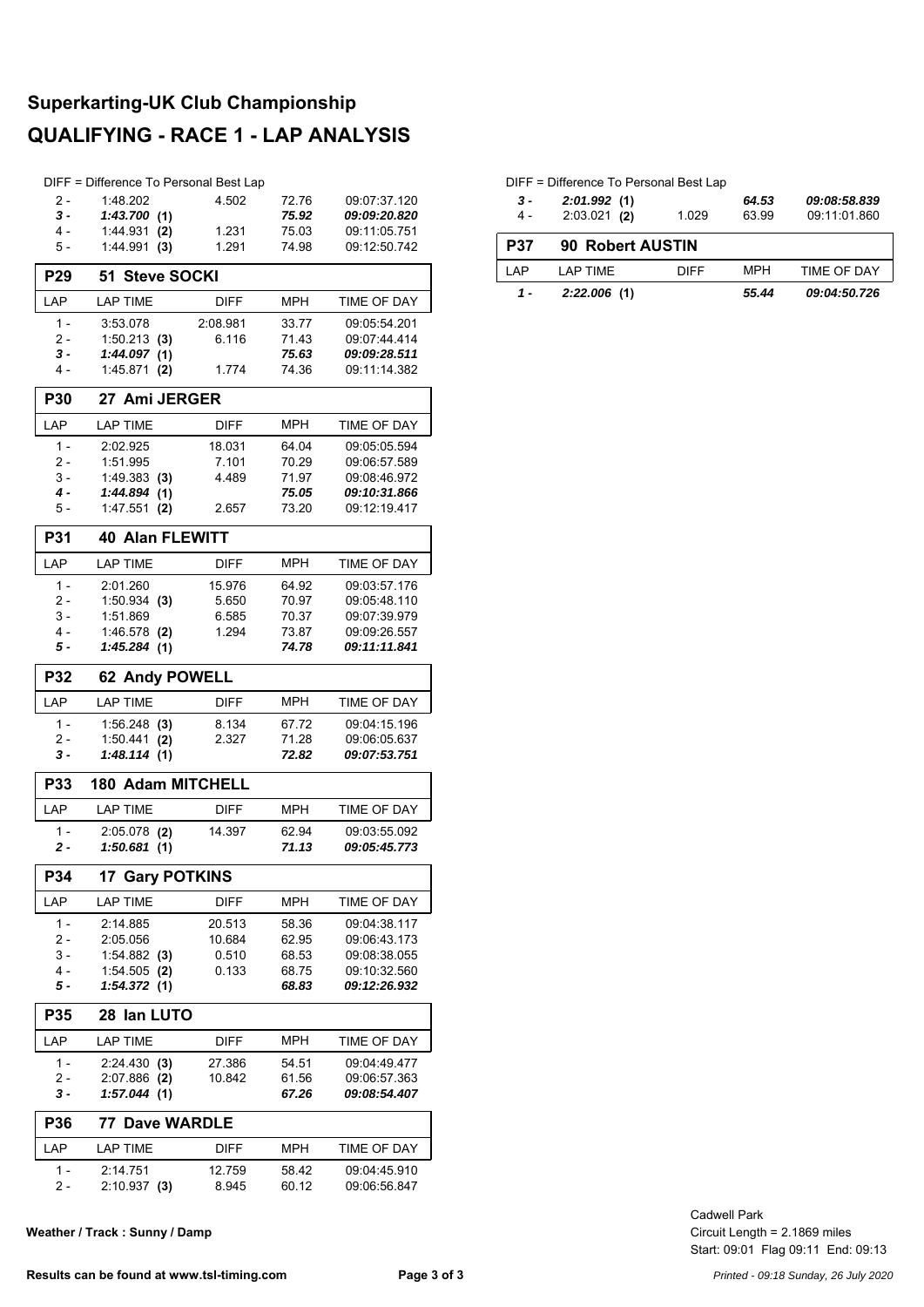# **Superkarting-UK Club Championship QUALIFYING - RACE 1 - LAP ANALYSIS**

|                 | DIFF = Difference To Personal Best Lap |                 |                |                              |
|-----------------|----------------------------------------|-----------------|----------------|------------------------------|
| 2 -             | 1:48.202                               | 4.502           | 72.76          | 09:07:37.120                 |
| $3 -$           | 1:43.700(1)                            |                 | 75.92          | 09:09:20.820                 |
| $4 -$           | 1:44.931<br>(2)                        | 1.231           | 75.03          | 09:11:05.751                 |
| 5 -             | 1:44.991<br>(3)                        | 1.291           | 74.98          | 09:12:50.742                 |
| P <sub>29</sub> | <b>Steve SOCKI</b><br>51               |                 |                |                              |
| LAP             | <b>LAP TIME</b>                        | <b>DIFF</b>     | MPH            | TIME OF DAY                  |
| $1 -$           | 3:53.078                               | 2:08.981        | 33.77          | 09:05:54.201                 |
| 2 -             | $1:50.213$ (3)                         | 6.116           | 71.43          | 09:07:44.414                 |
| $3 -$           | 1:44.097(1)                            |                 | 75.63          | 09:09:28.511                 |
| 4 -             | 1:45.871<br>(2)                        | 1.774           | 74.36          | 09:11:14.382                 |
| <b>P30</b>      | 27 Ami JERGER                          |                 |                |                              |
| LAP             | <b>LAP TIME</b>                        | <b>DIFF</b>     | <b>MPH</b>     | TIME OF DAY                  |
| $1 -$           | 2:02.925                               | 18.031          | 64.04          | 09:05:05.594                 |
| 2 -             | 1:51.995                               | 7.101           | 70.29          | 09:06:57.589                 |
| 3 -             | 1:49.383(3)                            | 4.489           | 71.97          | 09:08:46.972                 |
| 4 -             | 1:44.894(1)                            |                 | 75.05          | 09:10:31.866                 |
| 5 -             | 1:47.551<br>(2)                        | 2.657           | 73.20          | 09:12:19.417                 |
|                 |                                        |                 |                |                              |
| P31             | <b>40 Alan FLEWITT</b>                 |                 |                |                              |
| LAP             | <b>LAP TIME</b>                        | DIFF            | <b>MPH</b>     | <b>TIME OF DAY</b>           |
| $1 -$           | 2:01.260                               | 15.976          | 64.92          | 09:03:57.176                 |
| 2 -             | $1:50.934$ (3)                         | 5.650           | 70.97          | 09:05:48.110                 |
| 3 -             | 1:51.869                               | 6.585           | 70.37          | 09:07:39.979                 |
| 4 -             | 1:46.578 (2)                           | 1.294           | 73.87          | 09:09:26.557                 |
| 5 -             | 1:45.284(1)                            |                 | 74.78          | 09:11:11.841                 |
| <b>P32</b>      | 62 Andy POWELL                         |                 |                |                              |
| LAP             | <b>LAP TIME</b>                        | <b>DIFF</b>     | MPH            | TIME OF DAY                  |
| $1 -$           | $1:56.248$ (3)                         | 8.134           | 67.72          | 09:04:15.196                 |
| 2 -             | $1:50.441$ (2)                         | 2.327           | 71.28          | 09:06:05.637                 |
| $3 -$           | 1:48.114(1)                            |                 | 72.82          | 09:07:53.751                 |
| <b>P33</b>      | <b>180 Adam MITCHELL</b>               |                 |                |                              |
| LAP             | <b>LAP TIME</b>                        | <b>DIFF</b>     | MPH            | <b>TIME OF DAY</b>           |
| 1 -             | $2:05.078$ (2)                         | 14.397          | 62.94          | 09:03:55.092                 |
| $2 -$           | 1:50.681(1)                            |                 | 71.13          | 09:05:45.773                 |
| P34             | <b>17 Gary POTKINS</b>                 |                 |                |                              |
| LAP             | <b>LAP TIME</b>                        | DIFF            | MPH            | TIME OF DAY                  |
| $1 -$           | 2:14.885                               | 20.513          | 58.36          | 09:04:38.117                 |
| $2 -$           | 2:05.056                               | 10.684          | 62.95          | 09:06:43.173                 |
| 3 -             | 1:54.882 (3)                           | 0.510           | 68.53          | 09:08:38.055                 |
| 4 -             | $1:54.505$ (2)                         | 0.133           | 68.75          | 09:10:32.560                 |
| 5 -             | 1:54.372(1)                            |                 | 68.83          | 09:12:26.932                 |
| <b>P35</b>      | 28 Ian LUTO                            |                 |                |                              |
| LAP             | <b>LAP TIME</b>                        | <b>DIFF</b>     | MPH            | TIME OF DAY                  |
| $1 -$           | 2:24.430(3)                            | 27.386          | 54.51          | 09:04:49.477                 |
| 2 -             | 2:07.886 (2)                           | 10.842          | 61.56          | 09:06:57.363                 |
| 3 -             | 1:57.044(1)                            |                 | 67.26          | <i><b>09:08:54.407</b></i>   |
| P36             | 77                                     | Dave WARDLE     |                |                              |
|                 |                                        |                 |                |                              |
| LAP             | <b>LAP TIME</b>                        | DIFF            | MPH            | TIME OF DAY                  |
|                 |                                        |                 |                |                              |
| 1 -<br>2 -      | 2:14.751<br>$2:10.937$ (3)             | 12.759<br>8.945 | 58.42<br>60.12 | 09:04:45.910<br>09:06:56.847 |

**Weather / Track : Sunny / Damp**

| 3 -<br>4 - | 2:01.992(1)<br>$2:03.021$ (2) | 1.029       | 64.53<br>63.99 | 09:08:58.839<br>09:11:01.860 |
|------------|-------------------------------|-------------|----------------|------------------------------|
| <b>P37</b> | <b>90 Robert AUSTIN</b>       |             |                |                              |
| I AP       | LAP TIME                      | <b>DIFF</b> | <b>MPH</b>     | TIME OF DAY                  |
| 1 -        | 2:22.006(1)                   |             | 55.44          | 09:04:50.726                 |

DIFF = Difference To Personal Best Lap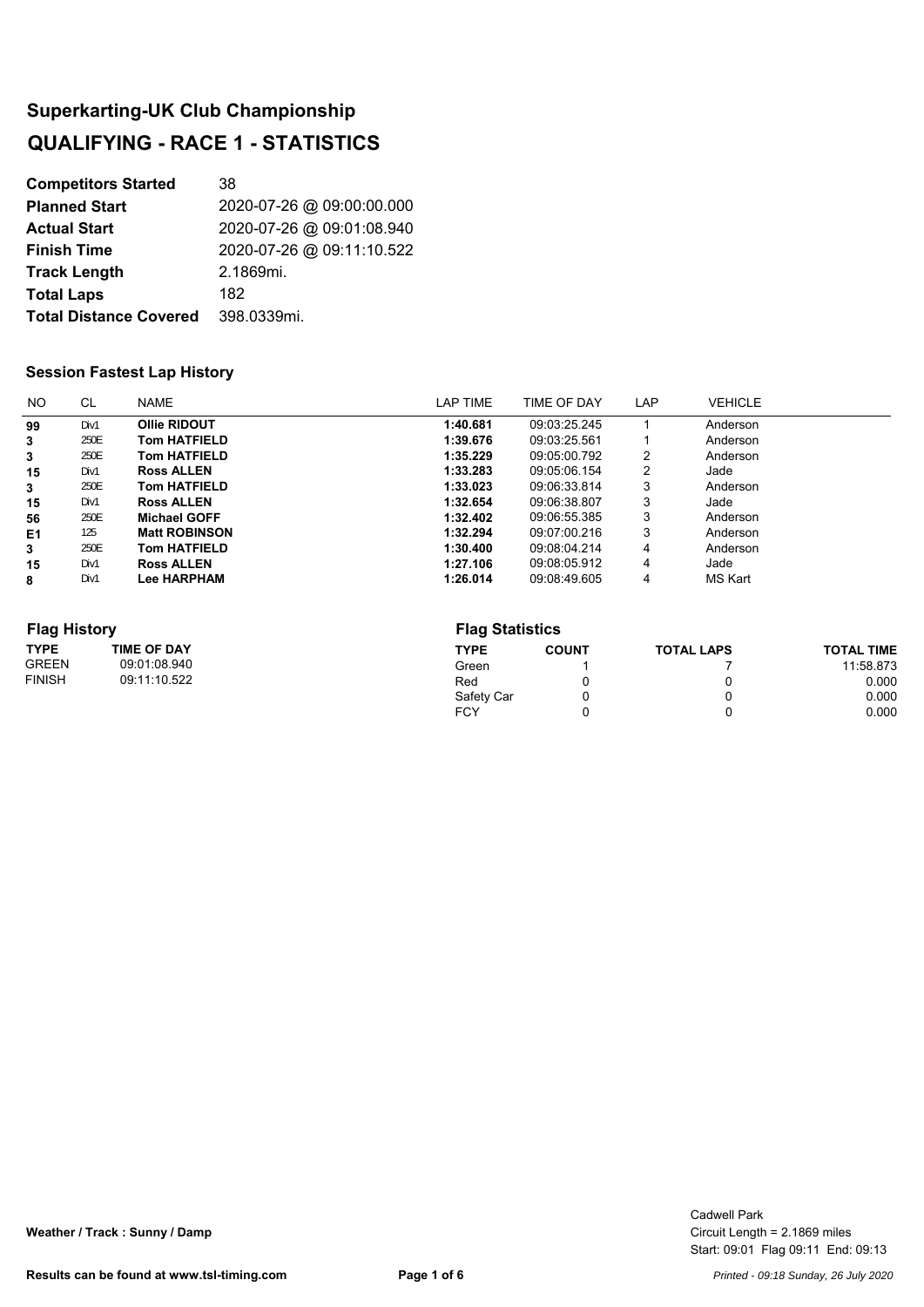| <b>Competitors Started</b>    | 38                        |
|-------------------------------|---------------------------|
| <b>Planned Start</b>          | 2020-07-26 @ 09:00:00.000 |
| <b>Actual Start</b>           | 2020-07-26 @ 09:01:08.940 |
| <b>Finish Time</b>            | 2020-07-26 @ 09:11:10.522 |
| <b>Track Length</b>           | 2.1869mi.                 |
| <b>Total Laps</b>             | 182                       |
| <b>Total Distance Covered</b> | 398.0339mi.               |

### **Session Fastest Lap History**

| NO. | <b>CL</b> | NAME                 | LAP TIME | TIME OF DAY  | LAP | <b>VEHICLE</b> |
|-----|-----------|----------------------|----------|--------------|-----|----------------|
| 99  | Div1      | Ollie RIDOUT         | 1:40.681 | 09:03:25.245 |     | Anderson       |
| 3   | 250E      | <b>Tom HATFIELD</b>  | 1:39.676 | 09:03:25.561 |     | Anderson       |
| 3   | 250E      | <b>Tom HATFIELD</b>  | 1:35.229 | 09:05:00.792 | 2   | Anderson       |
| 15  | Div1      | <b>Ross ALLEN</b>    | 1:33.283 | 09:05:06.154 | 2   | Jade           |
| 3   | 250E      | <b>Tom HATFIELD</b>  | 1:33.023 | 09:06:33.814 | 3   | Anderson       |
| 15  | Div1      | <b>Ross ALLEN</b>    | 1:32.654 | 09:06:38.807 | 3   | Jade           |
| 56  | 250E      | <b>Michael GOFF</b>  | 1:32.402 | 09:06:55.385 | 3   | Anderson       |
| E1  | 125       | <b>Matt ROBINSON</b> | 1:32.294 | 09:07:00.216 | 3   | Anderson       |
| 3   | 250E      | <b>Tom HATFIELD</b>  | 1:30.400 | 09:08:04.214 | 4   | Anderson       |
| 15  | Div1      | <b>Ross ALLEN</b>    | 1:27.106 | 09:08:05.912 | 4   | Jade           |
| 8   | Div1      | <b>Lee HARPHAM</b>   | 1:26.014 | 09:08:49.605 | 4   | MS Kart        |

#### **Flag History**

| <b>Flag History</b> |                    |            | <b>Flag Statistics</b> |                   |                   |  |  |
|---------------------|--------------------|------------|------------------------|-------------------|-------------------|--|--|
| <b>TYPE</b>         | <b>TIME OF DAY</b> | TYPE       | <b>COUNT</b>           | <b>TOTAL LAPS</b> | <b>TOTAL TIME</b> |  |  |
| <b>GREEN</b>        | 09:01:08.940       | Green      |                        |                   | 11:58.873         |  |  |
| <b>FINISH</b>       | 09:11:10.522       | Red        |                        | u                 | 0.000             |  |  |
|                     |                    | Safety Car |                        | 0                 | 0.000             |  |  |
|                     |                    | <b>FCY</b> |                        |                   | 0.000             |  |  |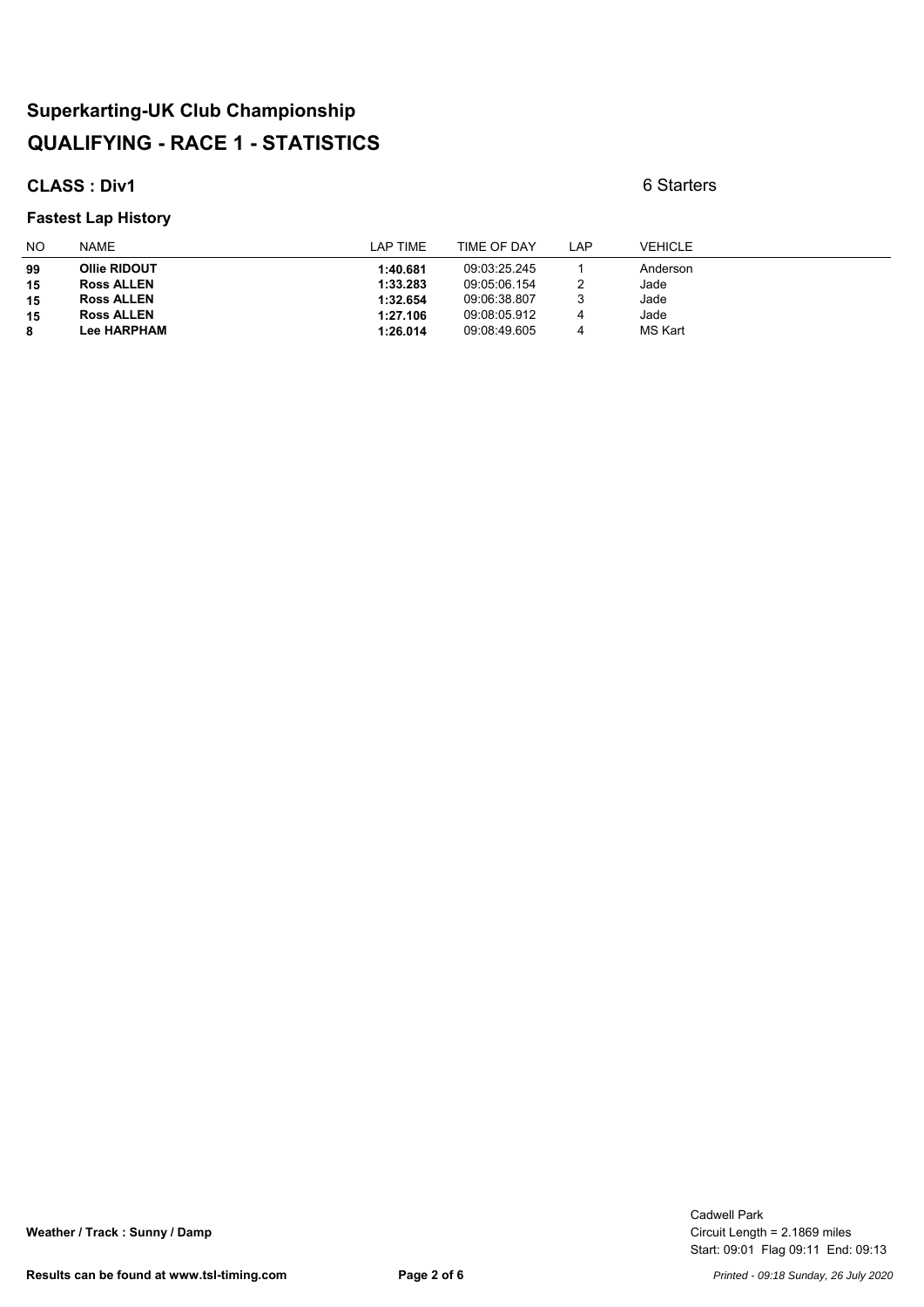### **CLASS : Div1** 6 Starters

#### **Fastest Lap History**

| NO | <b>NAME</b>        | LAP TIME | TIME OF DAY  | <b>LAP</b> | <b>VEHICLE</b> |
|----|--------------------|----------|--------------|------------|----------------|
| 99 | Ollie RIDOUT       | 1:40.681 | 09:03:25.245 |            | Anderson       |
| 15 | <b>Ross ALLEN</b>  | 1:33.283 | 09:05:06.154 |            | Jade           |
| 15 | <b>Ross ALLEN</b>  | 1:32.654 | 09:06:38.807 |            | Jade           |
| 15 | <b>Ross ALLEN</b>  | 1:27.106 | 09:08:05.912 | 4          | Jade           |
| 8  | <b>Lee HARPHAM</b> | 1:26.014 | 09:08:49.605 | 4          | <b>MS Kart</b> |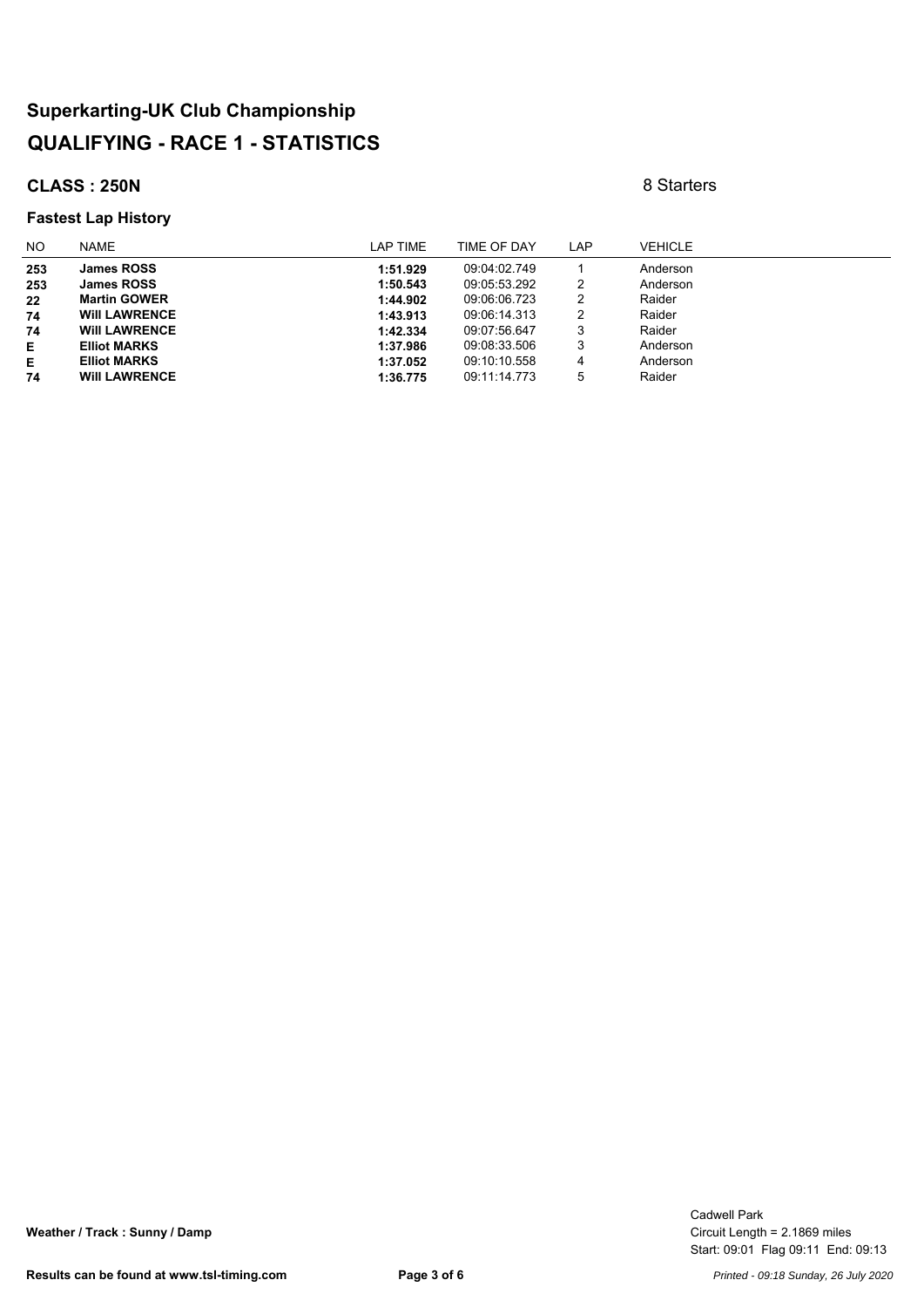### **CLASS : 250N** 8 Starters

#### **Fastest Lap History**

| NO. | <b>NAME</b>          | LAP TIME | TIME OF DAY  | LAP | <b>VEHICLE</b> |
|-----|----------------------|----------|--------------|-----|----------------|
| 253 | <b>James ROSS</b>    | 1:51.929 | 09:04:02.749 |     | Anderson       |
| 253 | <b>James ROSS</b>    | 1:50.543 | 09:05:53.292 | 2   | Anderson       |
| 22  | <b>Martin GOWER</b>  | 1:44.902 | 09:06:06.723 | 2   | Raider         |
| 74  | <b>WIII LAWRENCE</b> | 1:43.913 | 09:06:14.313 | 2   | Raider         |
| 74  | <b>WIII LAWRENCE</b> | 1:42.334 | 09:07:56.647 | 3   | Raider         |
| Е   | <b>Elliot MARKS</b>  | 1:37.986 | 09:08:33.506 | 3   | Anderson       |
| Е   | <b>Elliot MARKS</b>  | 1:37.052 | 09:10:10.558 | 4   | Anderson       |
| 74  | <b>WIII LAWRENCE</b> | 1:36.775 | 09:11:14.773 | 5   | Raider         |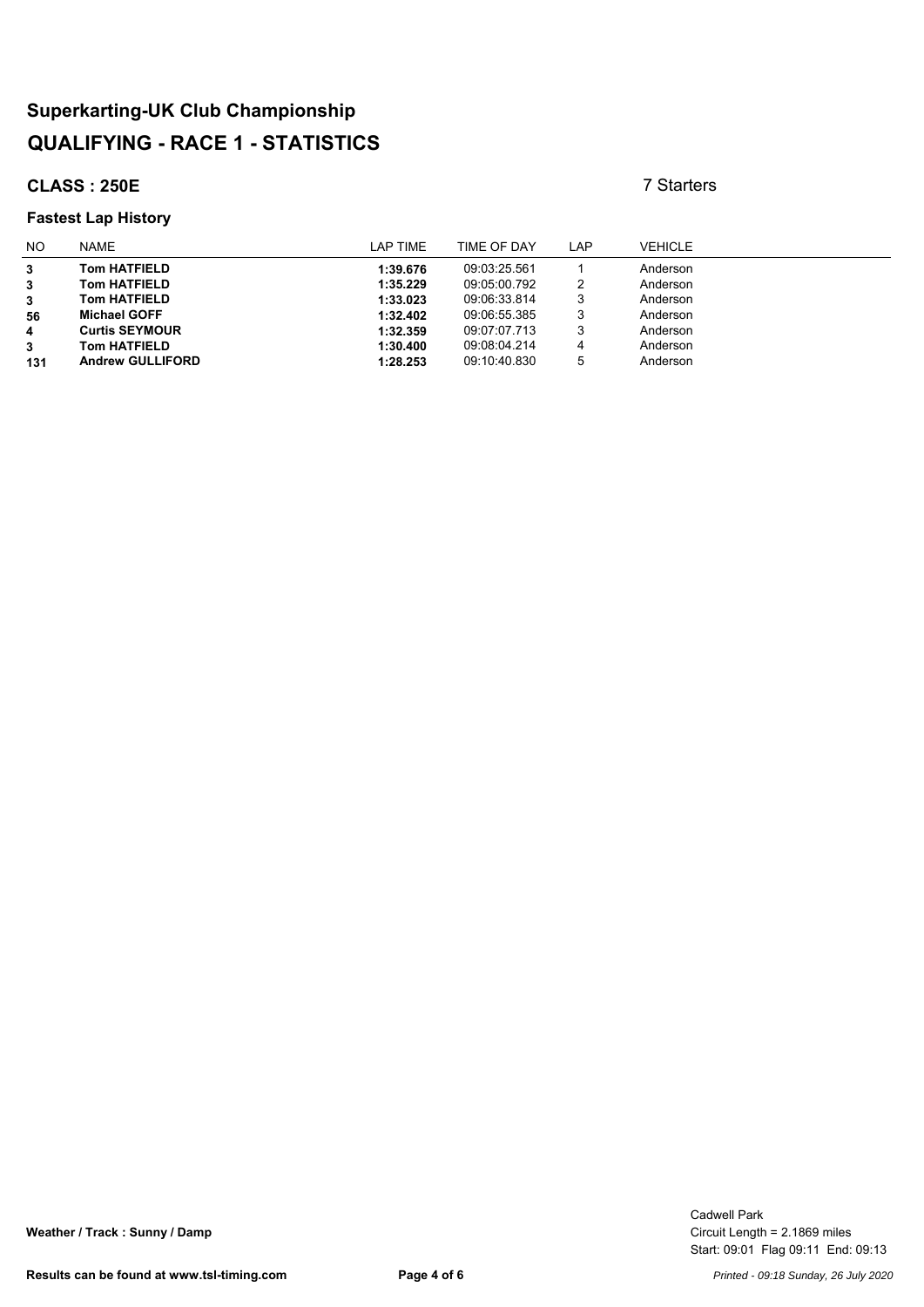### **CLASS : 250E** 7 Starters

#### **Fastest Lap History**

| N <sub>O</sub> | <b>NAME</b>             | LAP TIME | TIME OF DAY  | LAP | <b>VEHICLE</b> |
|----------------|-------------------------|----------|--------------|-----|----------------|
| 3              | <b>Tom HATFIELD</b>     | 1:39.676 | 09:03:25.561 |     | Anderson       |
| 3              | <b>Tom HATFIELD</b>     | 1:35.229 | 09:05:00.792 | 2   | Anderson       |
| 3              | <b>Tom HATFIELD</b>     | 1:33.023 | 09:06:33.814 | 3   | Anderson       |
| 56             | <b>Michael GOFF</b>     | 1:32.402 | 09:06:55.385 | 3   | Anderson       |
| 4              | <b>Curtis SEYMOUR</b>   | 1:32.359 | 09:07:07.713 | 3   | Anderson       |
| 3              | <b>Tom HATFIELD</b>     | 1:30.400 | 09:08:04.214 | 4   | Anderson       |
| 131            | <b>Andrew GULLIFORD</b> | 1:28.253 | 09:10:40.830 | 5   | Anderson       |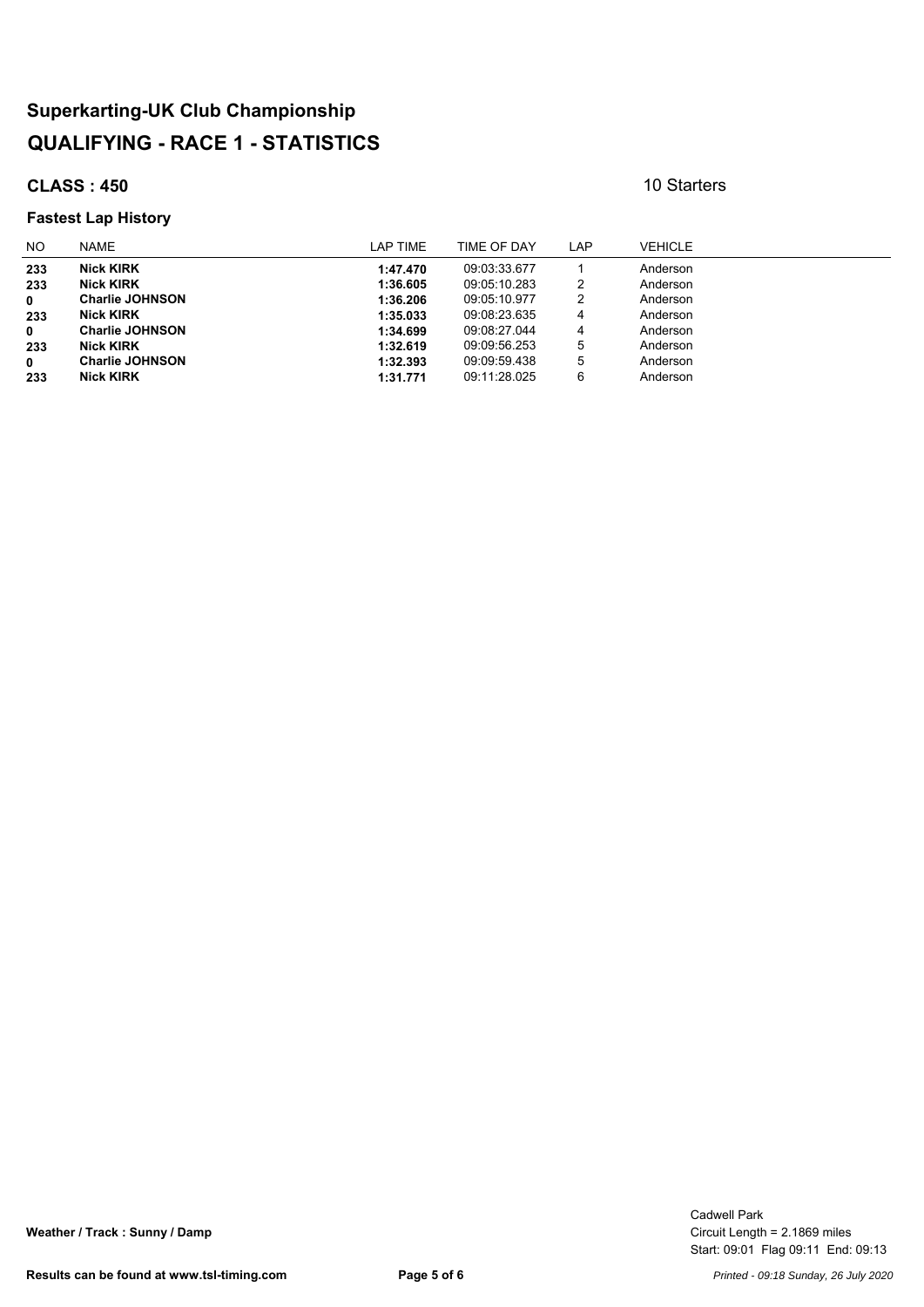### **CLASS : 450** 10 Starters

#### **Fastest Lap History**

| NO.         | <b>NAME</b>            | LAP TIME | TIME OF DAY  | LAP | <b>VEHICLE</b> |
|-------------|------------------------|----------|--------------|-----|----------------|
| 233         | <b>Nick KIRK</b>       | 1:47.470 | 09:03:33.677 |     | Anderson       |
| 233         | <b>Nick KIRK</b>       | 1:36.605 | 09.05.10.283 | 2   | Anderson       |
| $\mathbf 0$ | <b>Charlie JOHNSON</b> | 1:36.206 | 09:05:10.977 | 2   | Anderson       |
| 233         | <b>Nick KIRK</b>       | 1:35.033 | 09:08:23.635 | 4   | Anderson       |
| $\mathbf 0$ | <b>Charlie JOHNSON</b> | 1:34.699 | 09:08:27.044 | 4   | Anderson       |
| 233         | <b>Nick KIRK</b>       | 1:32.619 | 09:09:56.253 | 5   | Anderson       |
| 0           | <b>Charlie JOHNSON</b> | 1:32.393 | 09.09.59.438 | 5   | Anderson       |
| 233         | <b>Nick KIRK</b>       | 1:31.771 | 09:11:28.025 | 6   | Anderson       |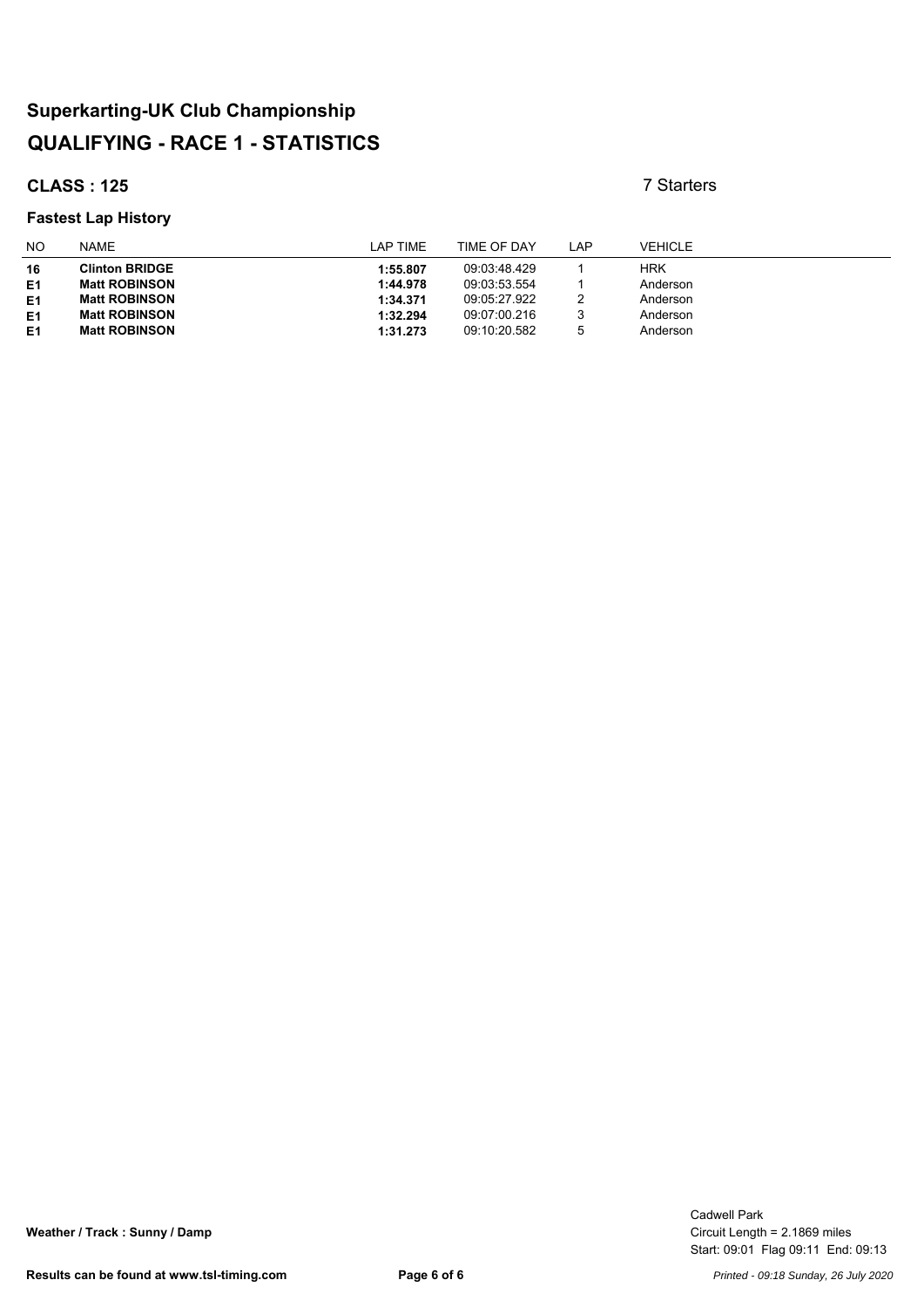### **CLASS : 125** 7 Starters

#### **Fastest Lap History**

| <b>NO</b>      | <b>NAME</b>           | LAP TIME | TIME OF DAY  | LAP | <b>VEHICLE</b> |
|----------------|-----------------------|----------|--------------|-----|----------------|
| 16             | <b>Clinton BRIDGE</b> | 1:55.807 | 09:03:48.429 |     | <b>HRK</b>     |
| E <sub>1</sub> | <b>Matt ROBINSON</b>  | 1:44.978 | 09:03:53.554 |     | Anderson       |
| E <sub>1</sub> | <b>Matt ROBINSON</b>  | 1:34.371 | 09:05:27.922 | っ   | Anderson       |
| E1             | <b>Matt ROBINSON</b>  | 1:32.294 | 09:07:00.216 | 3   | Anderson       |
| E <sub>1</sub> | <b>Matt ROBINSON</b>  | 1:31.273 | 09:10:20.582 | 5   | Anderson       |